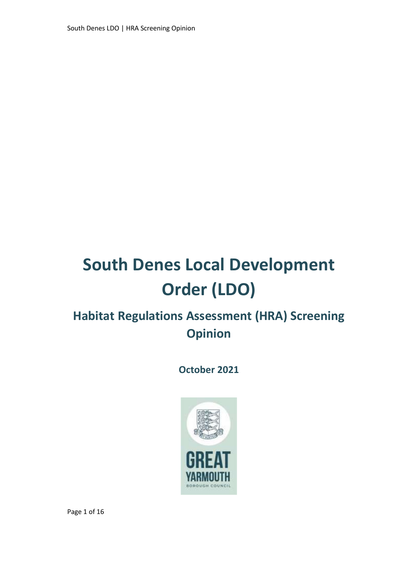South Denes LDO | HRA Screening Opinion

# **South Denes Local Development Order (LDO)**

### **Habitat Regulations Assessment (HRA) Screening Opinion**

**October 2021**

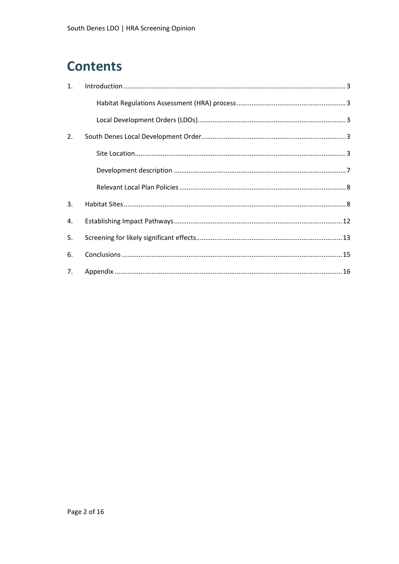### **Contents**

| 1. |  |
|----|--|
|    |  |
|    |  |
| 2. |  |
|    |  |
|    |  |
|    |  |
| 3. |  |
| 4. |  |
| 5. |  |
| 6. |  |
| 7. |  |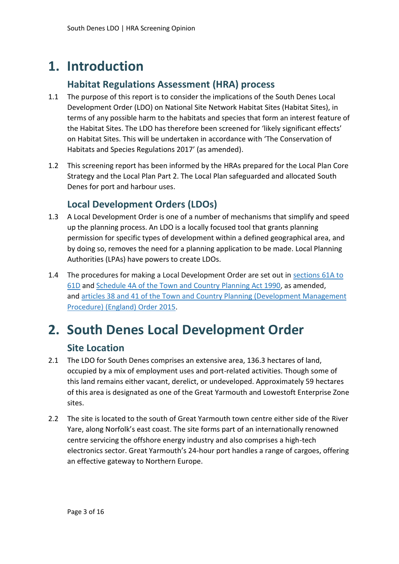### <span id="page-2-0"></span>**1. Introduction**

### **Habitat Regulations Assessment (HRA) process**

- <span id="page-2-1"></span>1.1 The purpose of this report is to consider the implications of the South Denes Local Development Order (LDO) on National Site Network Habitat Sites (Habitat Sites), in terms of any possible harm to the habitats and species that form an interest feature of the Habitat Sites. The LDO has therefore been screened for 'likely significant effects' on Habitat Sites. This will be undertaken in accordance with ['The Conservation of](https://www.legislation.gov.uk/uksi/2017/1012/contents/2019-04-01)  [Habitats and Species Regulations 2017' \(as amended\)](https://www.legislation.gov.uk/uksi/2017/1012/contents/2019-04-01).
- 1.2 This screening report has been informed by the HRAs prepared for the Local Plan Core Strategy and the Local Plan Part 2. The Local Plan safeguarded and allocated South Denes for port and harbour uses.

#### **Local Development Orders (LDOs)**

- <span id="page-2-2"></span>1.3 A Local Development Order is one of a number of mechanisms that simplify and speed up the planning process. An LDO is a locally focused tool that grants planning permission for specific types of development within a defined geographical area, and by doing so, removes the need for a planning application to be made. Local Planning Authorities (LPAs) have powers to create LDOs.
- 1.4 The procedures for making a Local Development Order are set out in [sections](http://www.legislation.gov.uk/ukpga/1990/8/part/III/crossheading/local-development-orders) 61A to [61D](http://www.legislation.gov.uk/ukpga/1990/8/part/III/crossheading/local-development-orders) and [Schedule](http://www.legislation.gov.uk/ukpga/1990/8/schedule/4A) 4A of the Town and Country Planning Act 1990, as amended, and articles 38 and 41 of the Town and Country Planning [\(Development](http://www.legislation.gov.uk/uksi/2015/595/article/38/made) Management [Procedure\)](http://www.legislation.gov.uk/uksi/2015/595/article/38/made) (England) Order 2015.

### <span id="page-2-3"></span>**2. South Denes Local Development Order**

#### **Site Location**

- <span id="page-2-4"></span>2.1 The LDO for South Denes comprises an extensive area, 136.3 hectares of land, occupied by a mix of employment uses and port-related activities. Though some of this land remains either vacant, derelict, or undeveloped. Approximately 59 hectares of this area is designated as one of the Great Yarmouth and Lowestoft Enterprise Zone sites.
- 2.2 The site is located to the south of Great Yarmouth town centre either side of the River Yare, along Norfolk's east coast. The site forms part of an internationally renowned centre servicing the offshore energy industry and also comprises a high-tech electronics sector. Great Yarmouth's 24-hour port handles a range of cargoes, offering an effective gateway to Northern Europe.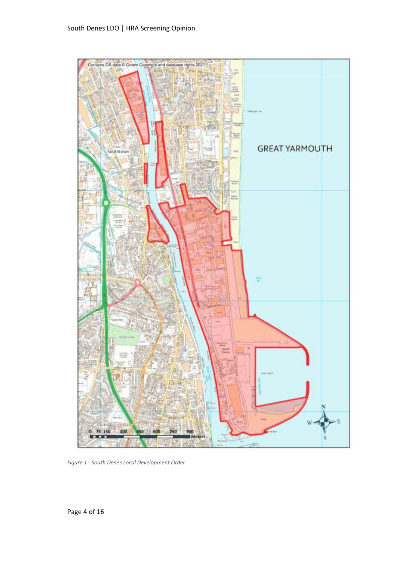

*Figure 1 - South Denes Local Development Order*

Page 4 of 16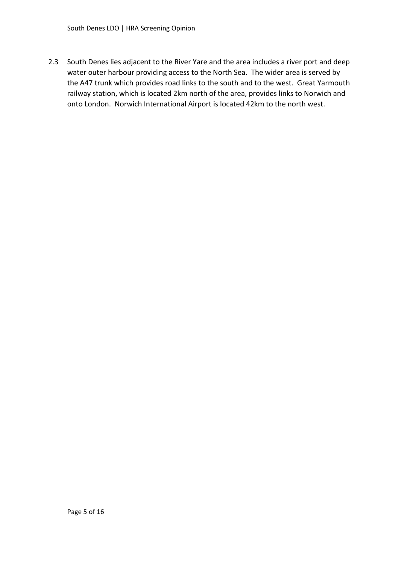2.3 South Denes lies adjacent to the River Yare and the area includes a river port and deep water outer harbour providing access to the North Sea. The wider area is served by the A47 trunk which provides road links to the south and to the west. Great Yarmouth railway station, which is located 2km north of the area, provides links to Norwich and onto London. Norwich International Airport is located 42km to the north west.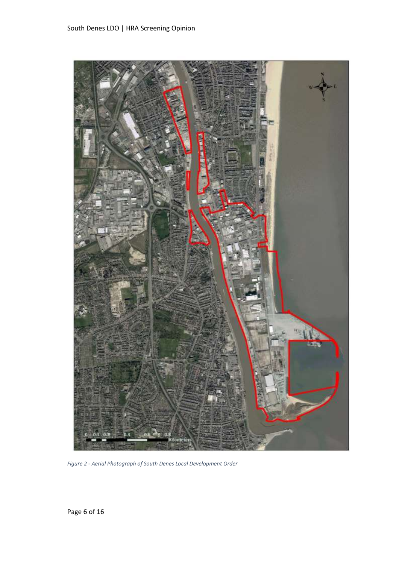

*Figure 2 - Aerial Photograph of South Denes Local Development Order*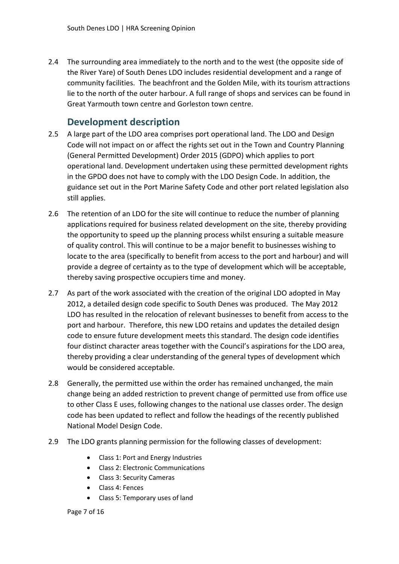2.4 The surrounding area immediately to the north and to the west (the opposite side of the River Yare) of South Denes LDO includes residential development and a range of community facilities. The beachfront and the Golden Mile, with its tourism attractions lie to the north of the outer harbour. A full range of shops and services can be found in Great Yarmouth town centre and Gorleston town centre.

#### **Development description**

- <span id="page-6-0"></span>2.5 A large part of the LDO area comprises port operational land. The LDO and Design Code will not impact on or affect the rights set out in the Town and Country Planning (General Permitted Development) Order 2015 (GDPO) which applies to port operational land. Development undertaken using these permitted development rights in the GPDO does not have to comply with the LDO Design Code. In addition, the guidance set out in the Port Marine Safety Code and other port related legislation also still applies.
- 2.6 The retention of an LDO for the site will continue to reduce the number of planning applications required for business related development on the site, thereby providing the opportunity to speed up the planning process whilst ensuring a suitable measure of quality control. This will continue to be a major benefit to businesses wishing to locate to the area (specifically to benefit from access to the port and harbour) and will provide a degree of certainty as to the type of development which will be acceptable, thereby saving prospective occupiers time and money.
- 2.7 As part of the work associated with the creation of the original LDO adopted in May 2012, a detailed design code specific to South Denes was produced. The May 2012 LDO has resulted in the relocation of relevant businesses to benefit from access to the port and harbour. Therefore, this new LDO retains and updates the detailed design code to ensure future development meets this standard. The design code identifies four distinct character areas together with the Council's aspirations for the LDO area, thereby providing a clear understanding of the general types of development which would be considered acceptable.
- 2.8 Generally, the permitted use within the order has remained unchanged, the main change being an added restriction to prevent change of permitted use from office use to other Class E uses, following changes to the national use classes order. The design code has been updated to reflect and follow the headings of the recently published National Model Design Code.
- 2.9 The LDO grants planning permission for the following classes of development:
	- Class 1: Port and Energy Industries
	- Class 2: Electronic Communications
	- Class 3: Security Cameras
	- Class 4: Fences
	- Class 5: Temporary uses of land

Page 7 of 16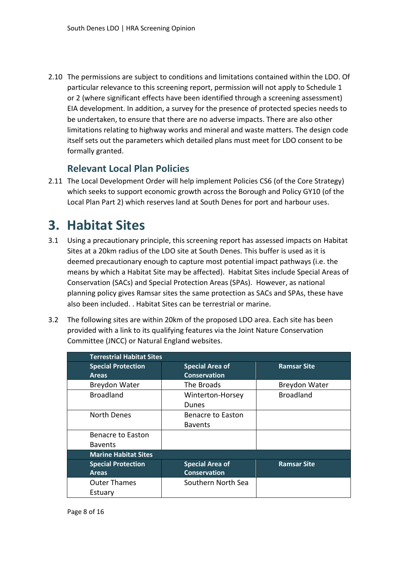2.10 The permissions are subject to conditions and limitations contained within the LDO. Of particular relevance to this screening report, permission will not apply to Schedule 1 or 2 (where significant effects have been identified through a screening assessment) EIA development. In addition, a survey for the presence of protected species needs to be undertaken, to ensure that there are no adverse impacts. There are also other limitations relating to highway works and mineral and waste matters. The design code itself sets out the parameters which detailed plans must meet for LDO consent to be formally granted.

#### **Relevant Local Plan Policies**

<span id="page-7-0"></span>2.11 The Local Development Order will help implement Policies CS6 (of the Core Strategy) which seeks to support economic growth across the Borough and Policy GY10 (of the Local Plan Part 2) which reserves land at South Denes for port and harbour uses.

### <span id="page-7-1"></span>**3. Habitat Sites**

- 3.1 Using a precautionary principle, this screening report has assessed impacts on Habitat Sites at a 20km radius of the LDO site at South Denes. This buffer is used as it is deemed precautionary enough to capture most potential impact pathways (i.e. the means by which a Habitat Site may be affected). Habitat Sites include Special Areas of Conservation (SACs) and Special Protection Areas (SPAs). However, as national planning policy gives Ramsar sites the same protection as SACs and SPAs, these have also been included. . Habitat Sites can be terrestrial or marine.
- 3.2 The following sites are within 20km of the proposed LDO area. Each site has been provided with a link to its qualifying features via the Joint Nature Conservation Committee (JNCC) or Natural England websites.

|                                           | <b>Terrestrial Habitat Sites</b>              |                      |  |  |  |
|-------------------------------------------|-----------------------------------------------|----------------------|--|--|--|
| <b>Special Protection</b><br><b>Areas</b> | <b>Special Area of</b><br><b>Conservation</b> | <b>Ramsar Site</b>   |  |  |  |
| <b>Breydon Water</b>                      | The Broads                                    | <b>Breydon Water</b> |  |  |  |
| <b>Broadland</b>                          | Winterton-Horsey<br>Dunes                     | <b>Broadland</b>     |  |  |  |
| North Denes                               | Benacre to Easton<br><b>Bavents</b>           |                      |  |  |  |
| Benacre to Easton<br><b>Bavents</b>       |                                               |                      |  |  |  |
| <b>Marine Habitat Sites</b>               |                                               |                      |  |  |  |
| <b>Special Protection</b><br><b>Areas</b> | <b>Special Area of</b><br><b>Conservation</b> | <b>Ramsar Site</b>   |  |  |  |
| <b>Outer Thames</b><br>Estuary            | Southern North Sea                            |                      |  |  |  |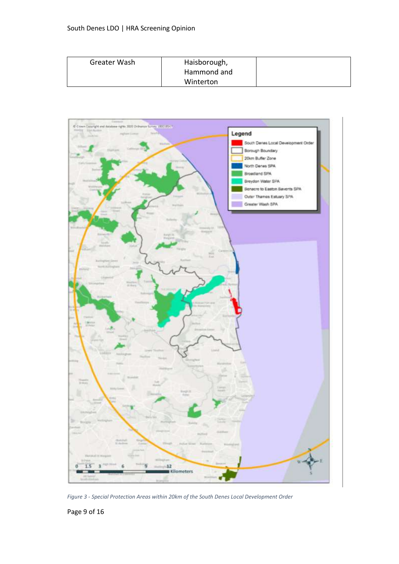| Greater Wash | Haisborough, |  |
|--------------|--------------|--|
|              | Hammond and  |  |
|              | Winterton    |  |



*Figure 3 - Special Protection Areas within 20km of the South Denes Local Development Order*

Page 9 of 16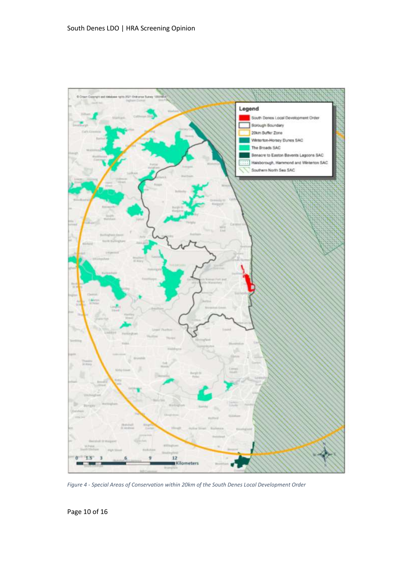

*Figure 4 - Special Areas of Conservation within 20km of the South Denes Local Development Order*

Page 10 of 16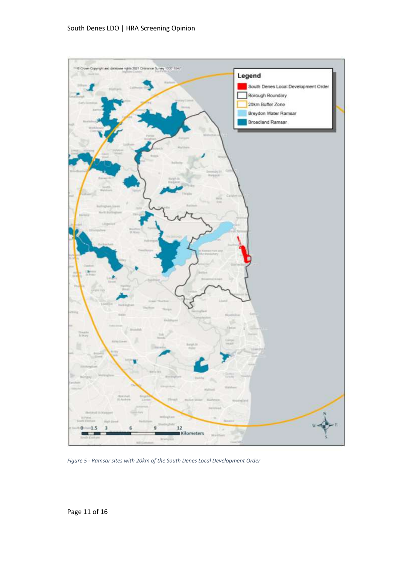

*Figure 5 - Ramsar sites with 20km of the South Denes Local Development Order*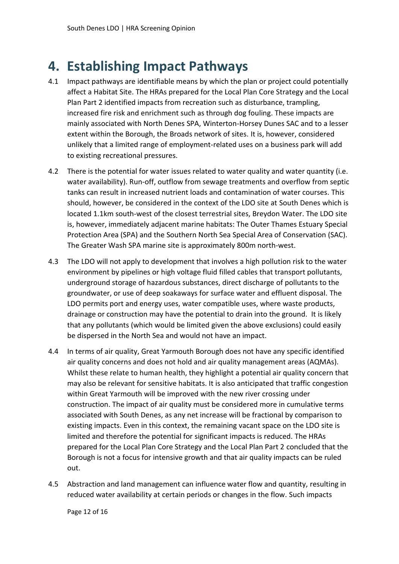### <span id="page-11-0"></span>**4. Establishing Impact Pathways**

- 4.1 Impact pathways are identifiable means by which the plan or project could potentially affect a Habitat Site. The HRAs prepared for the Local Plan Core Strategy and the Local Plan Part 2 identified impacts from recreation such as disturbance, trampling, increased fire risk and enrichment such as through dog fouling. These impacts are mainly associated with North Denes SPA, Winterton-Horsey Dunes SAC and to a lesser extent within the Borough, the Broads network of sites. It is, however, considered unlikely that a limited range of employment-related uses on a business park will add to existing recreational pressures.
- 4.2 There is the potential for water issues related to water quality and water quantity (i.e. water availability). Run-off, outflow from sewage treatments and overflow from septic tanks can result in increased nutrient loads and contamination of water courses. This should, however, be considered in the context of the LDO site at South Denes which is located 1.1km south-west of the closest terrestrial sites, Breydon Water. The LDO site is, however, immediately adjacent marine habitats: The Outer Thames Estuary Special Protection Area (SPA) and the Southern North Sea Special Area of Conservation (SAC). The Greater Wash SPA marine site is approximately 800m north-west.
- 4.3 The LDO will not apply to development that involves a high pollution risk to the water environment by pipelines or high voltage fluid filled cables that transport pollutants, underground storage of hazardous substances, direct discharge of pollutants to the groundwater, or use of deep soakaways for surface water and effluent disposal. The LDO permits port and energy uses, water compatible uses, where waste products, drainage or construction may have the potential to drain into the ground. It is likely that any pollutants (which would be limited given the above exclusions) could easily be dispersed in the North Sea and would not have an impact.
- 4.4 In terms of air quality, Great Yarmouth Borough does not have any specific identified air quality concerns and does not hold and air quality management areas (AQMAs). Whilst these relate to human health, they highlight a potential air quality concern that may also be relevant for sensitive habitats. It is also anticipated that traffic congestion within Great Yarmouth will be improved with the new river crossing under construction. The impact of air quality must be considered more in cumulative terms associated with South Denes, as any net increase will be fractional by comparison to existing impacts. Even in this context, the remaining vacant space on the LDO site is limited and therefore the potential for significant impacts is reduced. The HRAs prepared for the Local Plan Core Strategy and the Local Plan Part 2 concluded that the Borough is not a focus for intensive growth and that air quality impacts can be ruled out.
- 4.5 Abstraction and land management can influence water flow and quantity, resulting in reduced water availability at certain periods or changes in the flow. Such impacts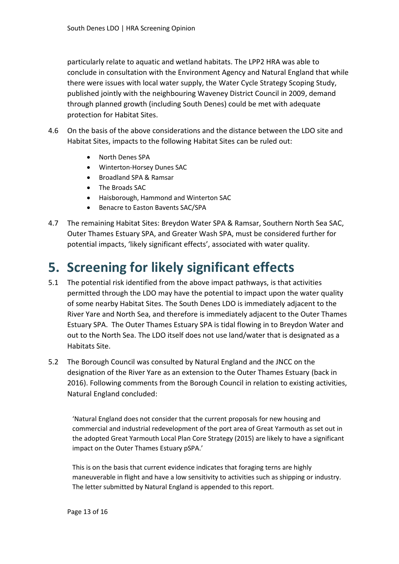particularly relate to aquatic and wetland habitats. The LPP2 HRA was able to conclude in consultation with the Environment Agency and Natural England that while there were issues with local water supply, the Water Cycle Strategy Scoping Study, published jointly with the neighbouring Waveney District Council in 2009, demand through planned growth (including South Denes) could be met with adequate protection for Habitat Sites.

- 4.6 On the basis of the above considerations and the distance between the LDO site and Habitat Sites, impacts to the following Habitat Sites can be ruled out:
	- North Denes SPA
	- Winterton-Horsey Dunes SAC
	- Broadland SPA & Ramsar
	- The Broads SAC
	- Haisborough, Hammond and Winterton SAC
	- Benacre to Easton Bavents SAC/SPA
- 4.7 The remaining Habitat Sites: Breydon Water SPA & Ramsar, Southern North Sea SAC, Outer Thames Estuary SPA, and Greater Wash SPA, must be considered further for potential impacts, 'likely significant effects', associated with water quality.

### <span id="page-12-0"></span>**5. Screening for likely significant effects**

- 5.1 The potential risk identified from the above impact pathways, is that activities permitted through the LDO may have the potential to impact upon the water quality of some nearby Habitat Sites. The South Denes LDO is immediately adjacent to the River Yare and North Sea, and therefore is immediately adjacent to the Outer Thames Estuary SPA. The Outer Thames Estuary SPA is tidal flowing in to Breydon Water and out to the North Sea. The LDO itself does not use land/water that is designated as a Habitats Site.
- 5.2 The Borough Council was consulted by Natural England and the JNCC on the designation of the River Yare as an extension to the Outer Thames Estuary (back in 2016). Following comments from the Borough Council in relation to existing activities, Natural England concluded:

'Natural England does not consider that the current proposals for new housing and commercial and industrial redevelopment of the port area of Great Yarmouth as set out in the adopted Great Yarmouth Local Plan Core Strategy (2015) are likely to have a significant impact on the Outer Thames Estuary pSPA.'

This is on the basis that current evidence indicates that foraging terns are highly maneuverable in flight and have a low sensitivity to activities such as shipping or industry. The letter submitted by Natural England is appended to this report.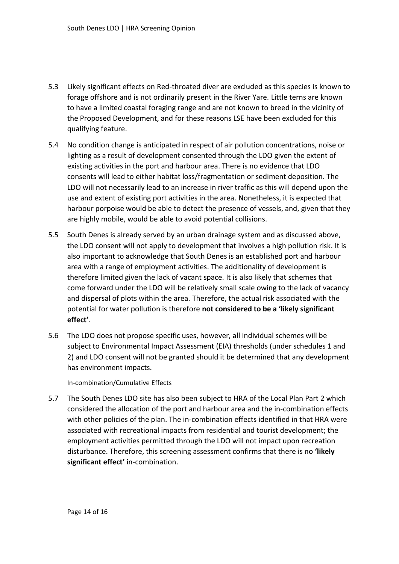- 5.3 Likely significant effects on Red-throated diver are excluded as this species is known to forage offshore and is not ordinarily present in the River Yare. Little terns are known to have a limited coastal foraging range and are not known to breed in the vicinity of the Proposed Development, and for these reasons LSE have been excluded for this qualifying feature.
- 5.4 No condition change is anticipated in respect of air pollution concentrations, noise or lighting as a result of development consented through the LDO given the extent of existing activities in the port and harbour area. There is no evidence that LDO consents will lead to either habitat loss/fragmentation or sediment deposition. The LDO will not necessarily lead to an increase in river traffic as this will depend upon the use and extent of existing port activities in the area. Nonetheless, it is expected that harbour porpoise would be able to detect the presence of vessels, and, given that they are highly mobile, would be able to avoid potential collisions.
- 5.5 South Denes is already served by an urban drainage system and as discussed above, the LDO consent will not apply to development that involves a high pollution risk. It is also important to acknowledge that South Denes is an established port and harbour area with a range of employment activities. The additionality of development is therefore limited given the lack of vacant space. It is also likely that schemes that come forward under the LDO will be relatively small scale owing to the lack of vacancy and dispersal of plots within the area. Therefore, the actual risk associated with the potential for water pollution is therefore **not considered to be a 'likely significant effect'**.
- 5.6 The LDO does not propose specific uses, however, all individual schemes will be subject to Environmental Impact Assessment (EIA) thresholds (under schedules 1 and 2) and LDO consent will not be granted should it be determined that any development has environment impacts.

#### In-combination/Cumulative Effects

5.7 The South Denes LDO site has also been subject to HRA of the Local Plan Part 2 which considered the allocation of the port and harbour area and the in-combination effects with other policies of the plan. The in-combination effects identified in that HRA were associated with recreational impacts from residential and tourist development; the employment activities permitted through the LDO will not impact upon recreation disturbance. Therefore, this screening assessment confirms that there is no **'likely significant effect'** in-combination.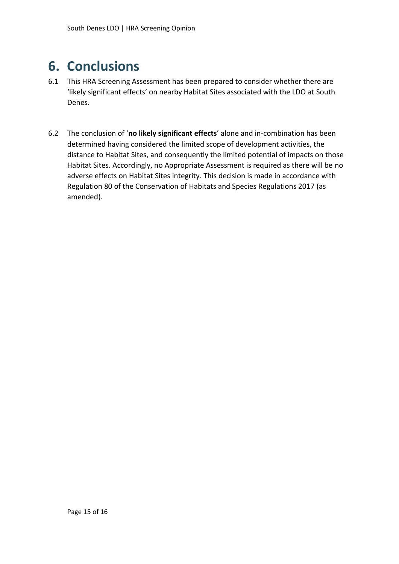### <span id="page-14-0"></span>**6. Conclusions**

- 6.1 This HRA Screening Assessment has been prepared to consider whether there are 'likely significant effects' on nearby Habitat Sites associated with the LDO at South Denes.
- 6.2 The conclusion of '**no likely significant effects**' alone and in-combination has been determined having considered the limited scope of development activities, the distance to Habitat Sites, and consequently the limited potential of impacts on those Habitat Sites. Accordingly, no Appropriate Assessment is required as there will be no adverse effects on Habitat Sites integrity. This decision is made in accordance with Regulation 80 of the Conservation of Habitats and Species Regulations 2017 (as amended).